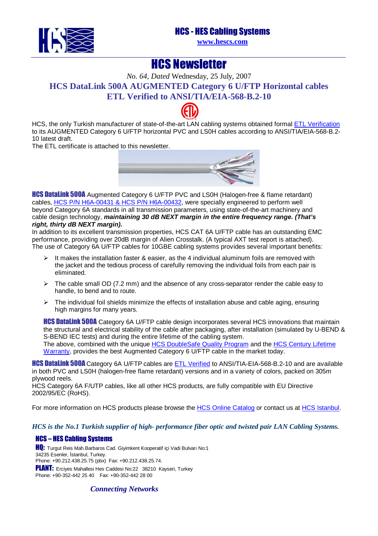### HCS - HES Cabling Systems



**[www.hescs.com](http://www.hescs.com/)**

# **HCS Newsletter**

*No. 64, Dated* Wednesday, 25 July, 2007 **HCS DataLink 500A AUGMENTED Category 6 U/FTP Horizontal cables ETL Verified to A[NSI/TI](http://www.intertek-etlsemko.com/portal/page/cust_portal/ITK_PGR/SELECT_YOUR_IND_PG/CABLING_WIRING_PROD_PG/CABLING_CUSTOMERS_PG/Participants_Certificate_Pages/HCS)A/EIA-568-B.2-10** 

HCS, the only Turkish manufacturer of state-of-the-art LAN cabling systems obtained forma[l ETL Verification](http://www.intertek-etlsemko.com/portal/page/cust_portal/ITK_PGR/SELECT_YOUR_IND_PG/CABLING_WIRING_PROD_PG/CABLING_CUSTOMERS_PG/Participants_Certificate_Pages/HCS) to its AUGMENTED Category 6 U/FTP horizontal PVC and LS0H cables according to ANSI/TIA/EIA-568-B.2- 10 latest draft.

The ETL certificate is attached to this newsletter.



**HCS DataLink 500A** Augmented Category 6 U/FTP PVC and LS0H (Halogen-free & flame retardant) cables, HCS P/N H6A-00431 & HCS P/N H6A-00432, were specially engineered to perform well beyond Category 6A standards in all transmission parameters, using state-of-the-art machinery and cable design technology, **maintaining 30 dB NEXT margin in the entire frequency range. (That's right, thirty dB NEXT margin).** 

In addition to its excellent transmission properties, HCS CAT 6A U/FTP cable has an outstanding EMC performance, providing over 20dB margin of Alien Crosstalk. (A typical AXT test report is attached). The use of Category 6A U/FTP cables for 10GBE cabling systems provides several important benefits:

- $\triangleright$  It makes the installation faster & easier, as the 4 individual aluminum foils are removed with the jacket and the tedious process of carefully removing the individual foils from each pair is eliminated.
- $\triangleright$  The cable small OD (7.2 mm) and the absence of any cross-separator render the cable easy to handle, to bend and to route.
- $\triangleright$  The individual foil shields minimize the effects of installation abuse and cable aging, ensuring high margins for many years.

**HCS DataLink 500A** Category 6A U/FTP cable design incorporates several HCS innovations that maintain the structural and electrical stability of the cable after packaging, after installation (simulated by U-BEND & S-BEND IEC tests) and during the entire lifetime of the cabling system. The above, combined with the unique [HCS DoubleSafe Quality Program and the HCS Century Lifetime](http://hescs.com/eng/?s=quality.htm) Warranty, provides the best Augmented Category 6 U/FTP cable in the market today.

**HCS DataLink 500A** Category 6A U/FTP cables are **ETL Verified to ANSI/TIA-EIA-568-B.2-10** and are available in both PVC and LS0H (halogen-free flame retardant) versions and in a variety of colors, packed on 305m plywood reels.

HCS Category 6A F/UTP cables, like all other HCS products, are fully compatible with EU Directive 2002/95/EC (RoHS).

For more information on HCS products please browse the [HCS Online Catalog or contact us at](http://hescs.com/katalogen/) [HCS Istanbul.](http://hescs.com/eng/?s=contact.php)

#### *HCS is the No.1 Turkish supplier of high- performance fiber optic and twisted pair LAN Cabling Systems.*

#### HCS – HES Cabling Systems

**HQ:** Turgut Reis Mah.Barbaros Cad. Giyimkent Kooperatif içi Vadi Bulvarı No:1 34235 Esenler, İstanbul, Turkey. Phone: +90.212.438.25.75 (pbx) Fax: +90.212.438.25.74. PLANT: Erciyes Mahallesi Hes Caddesi No:22 38210 Kayseri, Turkey Phone: +90-352-442 25 40 Fax: +90-352-442 28 00

*Connecting Networks*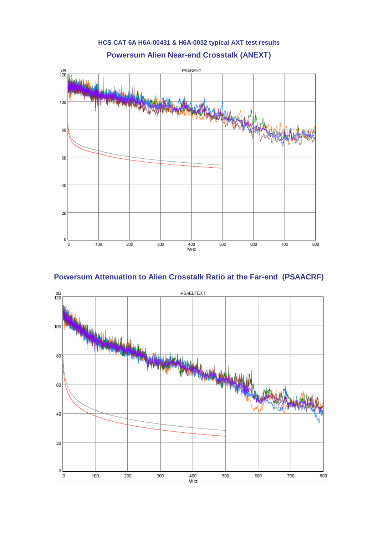

## **Powersum Attenuation to Alien Crosstalk Ratio at the Far-end (PSAACRF)**



**HCS CAT 6A H6A-00431 & H6A-0032 typical AXT test results**